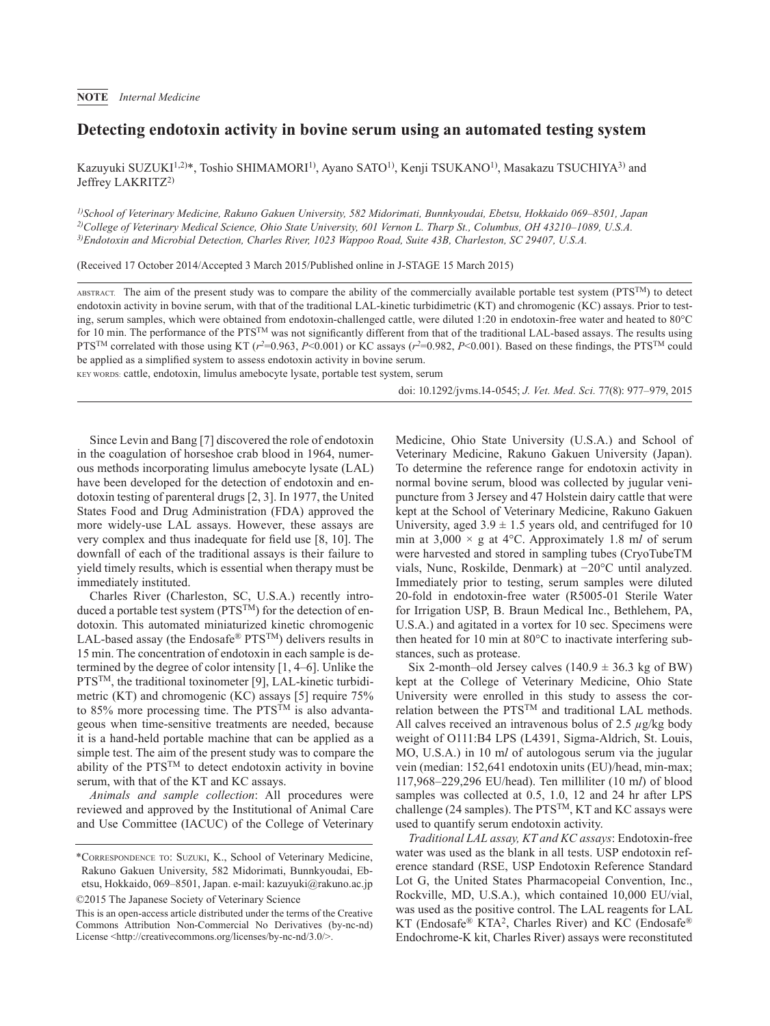## **Detecting endotoxin activity in bovine serum using an automated testing system**

Kazuyuki SUZUKI<sup>1,2)\*</sup>, Toshio SHIMAMORI<sup>1</sup>, Ayano SATO<sup>1</sup>, Kenji TSUKANO<sup>1</sup>, Masakazu TSUCHIYA<sup>3</sup>) and Jeffrey LAKRITZ<sup>2)</sup>

*1)School of Veterinary Medicine, Rakuno Gakuen University, 582 Midorimati, Bunnkyoudai, Ebetsu, Hokkaido 069–8501, Japan 2)College of Veterinary Medical Science, Ohio State University, 601 Vernon L. Tharp St., Columbus, OH 43210–1089, U.S.A. 3)Endotoxin and Microbial Detection, Charles River, 1023 Wappoo Road, Suite 43B, Charleston, SC 29407, U.S.A.*

(Received 17 October 2014/Accepted 3 March 2015/Published online in J-STAGE 15 March 2015)

ABSTRACT. The aim of the present study was to compare the ability of the commercially available portable test system (PTSTM) to detect endotoxin activity in bovine serum, with that of the traditional LAL-kinetic turbidimetric (KT) and chromogenic (KC) assays. Prior to testing, serum samples, which were obtained from endotoxin-challenged cattle, were diluted 1:20 in endotoxin-free water and heated to 80°C for 10 min. The performance of the PTS<sup>TM</sup> was not significantly different from that of the traditional LAL-based assays. The results using PTS<sup>TM</sup> correlated with those using KT ( $r^2$ =0.963, P<0.001) or KC assays ( $r^2$ =0.982, P<0.001). Based on these findings, the PTS<sup>TM</sup> could be applied as a simplified system to assess endotoxin activity in bovine serum.

KEY WORDS: cattle, endotoxin, limulus amebocyte lysate, portable test system, serum

doi: 10.1292/jvms.14-0545; *J. Vet. Med. Sci.* 77(8): 977–979, 2015

Since Levin and Bang [[7](#page-2-0)] discovered the role of endotoxin in the coagulation of horseshoe crab blood in 1964, numerous methods incorporating limulus amebocyte lysate (LAL) have been developed for the detection of endotoxin and endotoxin testing of parenteral drugs [[2, 3\]](#page-2-1). In 1977, the United States Food and Drug Administration (FDA) approved the more widely-use LAL assays. However, these assays are very complex and thus inadequate for field use [[8, 10](#page-2-2)]. The downfall of each of the traditional assays is their failure to yield timely results, which is essential when therapy must be immediately instituted.

Charles River (Charleston, SC, U.S.A.) recently introduced a portable test system (PTS<sup>TM</sup>) for the detection of endotoxin. This automated miniaturized kinetic chromogenic LAL-based assay (the Endosafe® PTS<sup>TM</sup>) delivers results in 15 min. The concentration of endotoxin in each sample is determined by the degree of color intensity [\[1, 4–6\]](#page-2-3). Unlike the PTS<sup>TM</sup>, the traditional toxinometer [[9\]](#page-2-4), LAL-kinetic turbidimetric (KT) and chromogenic (KC) assays [[5\]](#page-2-5) require 75% to 85% more processing time. The PTS<sup>TM</sup> is also advantageous when time-sensitive treatments are needed, because it is a hand-held portable machine that can be applied as a simple test. The aim of the present study was to compare the ability of the PTSTM to detect endotoxin activity in bovine serum, with that of the KT and KC assays.

*Animals and sample collection*: All procedures were reviewed and approved by the Institutional of Animal Care and Use Committee (IACUC) of the College of Veterinary Medicine, Ohio State University (U.S.A.) and School of Veterinary Medicine, Rakuno Gakuen University (Japan). To determine the reference range for endotoxin activity in normal bovine serum, blood was collected by jugular venipuncture from 3 Jersey and 47 Holstein dairy cattle that were kept at the School of Veterinary Medicine, Rakuno Gakuen University, aged  $3.9 \pm 1.5$  years old, and centrifuged for 10 min at  $3,000 \times g$  at 4°C. Approximately 1.8 ml of serum were harvested and stored in sampling tubes (CryoTubeTM vials, Nunc, Roskilde, Denmark) at −20°C until analyzed. Immediately prior to testing, serum samples were diluted 20-fold in endotoxin-free water (R5005-01 Sterile Water for Irrigation USP, B. Braun Medical Inc., Bethlehem, PA, U.S.A.) and agitated in a vortex for 10 sec. Specimens were then heated for 10 min at 80°C to inactivate interfering substances, such as protease.

Six 2-month–old Jersey calves  $(140.9 \pm 36.3 \text{ kg of BW})$ kept at the College of Veterinary Medicine, Ohio State University were enrolled in this study to assess the correlation between the PTSTM and traditional LAL methods. All calves received an intravenous bolus of 2.5 *µ*g/kg body weight of O111:B4 LPS (L4391, Sigma-Aldrich, St. Louis, MO, U.S.A.) in 10 m*l* of autologous serum via the jugular vein (median: 152,641 endotoxin units (EU)/head, min-max; 117,968–229,296 EU/head). Ten milliliter (10 m*l*) of blood samples was collected at 0.5, 1.0, 12 and 24 hr after LPS challenge (24 samples). The PTS<sup>TM</sup>, KT and KC assays were used to quantify serum endotoxin activity.

*Traditional LAL assay, KT and KC assays*: Endotoxin-free water was used as the blank in all tests. USP endotoxin reference standard (RSE, USP Endotoxin Reference Standard Lot G, the United States Pharmacopeial Convention, Inc., Rockville, MD, U.S.A.), which contained 10,000 EU/vial, was used as the positive control. The LAL reagents for LAL KT (Endosafe® KTA2, Charles River) and KC (Endosafe® Endochrome-K kit, Charles River) assays were reconstituted

<sup>\*</sup>Correspondence to: Suzuki, K., School of Veterinary Medicine, Rakuno Gakuen University, 582 Midorimati, Bunnkyoudai, Ebetsu, Hokkaido, 069–8501, Japan. e-mail: kazuyuki@rakuno.ac.jp ©2015 The Japanese Society of Veterinary Science

This is an open-access article distributed under the terms of the Creative Commons Attribution Non-Commercial No Derivatives (by-nc-nd) License [<http://creativecommons.org/licenses/by-nc-nd/3.0/](http://creativecommons.org/licenses/by-nc-nd/3.0/)>.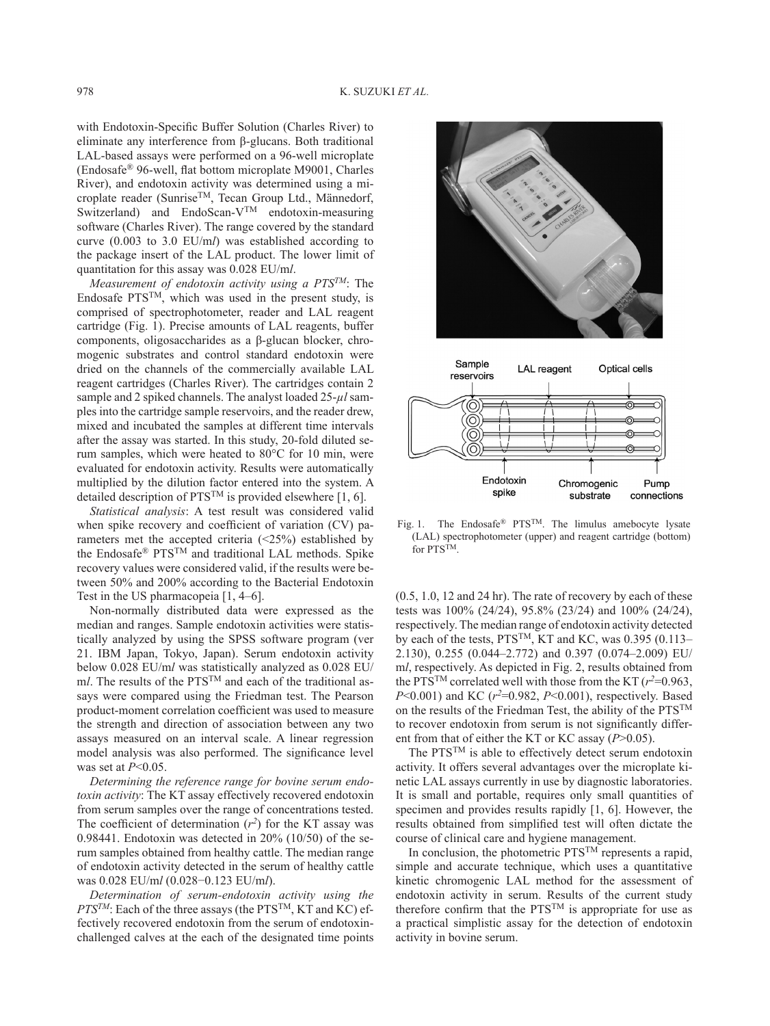with Endotoxin-Specific Buffer Solution (Charles River) to eliminate any interference from β-glucans. Both traditional LAL-based assays were performed on a 96-well microplate (Endosafe® 96-well, flat bottom microplate M9001, Charles River), and endotoxin activity was determined using a microplate reader (Sunrise<sup>TM</sup>, Tecan Group Ltd., Männedorf, Switzerland) and EndoScan-V<sup>TM</sup> endotoxin-measuring software (Charles River). The range covered by the standard curve (0.003 to 3.0 EU/m*l*) was established according to the package insert of the LAL product. The lower limit of quantitation for this assay was 0.028 EU/m*l*.

*Measurement of endotoxin activity using a PTSTM*: The Endosafe  $PTS^{TM}$ , which was used in the present study, is comprised of spectrophotometer, reader and LAL reagent cartridge (Fig. 1). Precise amounts of LAL reagents, buffer components, oligosaccharides as a β-glucan blocker, chromogenic substrates and control standard endotoxin were dried on the channels of the commercially available LAL reagent cartridges (Charles River). The cartridges contain 2 sample and 2 spiked channels. The analyst loaded 25-*µl* samples into the cartridge sample reservoirs, and the reader drew, mixed and incubated the samples at different time intervals after the assay was started. In this study, 20-fold diluted serum samples, which were heated to 80°C for 10 min, were evaluated for endotoxin activity. Results were automatically multiplied by the dilution factor entered into the system. A detailed description of  $PTS^{TM}$  is provided elsewhere [[1, 6](#page-2-3)].

*Statistical analysis*: A test result was considered valid when spike recovery and coefficient of variation (CV) parameters met the accepted criteria (<25%) established by the Endosafe® PTSTM and traditional LAL methods. Spike recovery values were considered valid, if the results were between 50% and 200% according to the Bacterial Endotoxin Test in the US pharmacopeia [\[1, 4–6](#page-2-3)].

Non-normally distributed data were expressed as the median and ranges. Sample endotoxin activities were statistically analyzed by using the SPSS software program (ver 21. IBM Japan, Tokyo, Japan). Serum endotoxin activity below 0.028 EU/m*l* was statistically analyzed as 0.028 EU/ m*l*. The results of the PTS<sup>TM</sup> and each of the traditional assays were compared using the Friedman test. The Pearson product-moment correlation coefficient was used to measure the strength and direction of association between any two assays measured on an interval scale. A linear regression model analysis was also performed. The significance level was set at *P*<0.05.

*Determining the reference range for bovine serum endotoxin activity*: The KT assay effectively recovered endotoxin from serum samples over the range of concentrations tested. The coefficient of determination  $(r^2)$  for the KT assay was 0.98441. Endotoxin was detected in 20% (10/50) of the serum samples obtained from healthy cattle. The median range of endotoxin activity detected in the serum of healthy cattle was 0.028 EU/m*l* (0.028−0.123 EU/m*l*).

*Determination of serum-endotoxin activity using the PTSTM*: Each of the three assays (the PTSTM, KT and KC) effectively recovered endotoxin from the serum of endotoxinchallenged calves at the each of the designated time points



Fig. 1. The Endosafe® PTS<sup>TM</sup>. The limulus amebocyte lysate (LAL) spectrophotometer (upper) and reagent cartridge (bottom) for  $\text{PTS}^{\text{TM}}$ 

(0.5, 1.0, 12 and 24 hr). The rate of recovery by each of these tests was 100% (24/24), 95.8% (23/24) and 100% (24/24), respectively. The median range of endotoxin activity detected by each of the tests, PTS<sup>TM</sup>, KT and KC, was 0.395 (0.113– 2.130), 0.255 (0.044–2.772) and 0.397 (0.074–2.009) EU/ m*l*, respectively. As depicted in Fig. 2, results obtained from the PTS<sup>TM</sup> correlated well with those from the KT ( $r^2$ =0.963, *P*<0.001) and KC ( $r^2$ =0.982, *P*<0.001), respectively. Based on the results of the Friedman Test, the ability of the  $PTS^{TM}$ to recover endotoxin from serum is not significantly different from that of either the KT or KC assay (*P*>0.05).

The PTSTM is able to effectively detect serum endotoxin activity. It offers several advantages over the microplate kinetic LAL assays currently in use by diagnostic laboratories. It is small and portable, requires only small quantities of specimen and provides results rapidly [\[1, 6](#page-2-3)]. However, the results obtained from simplified test will often dictate the course of clinical care and hygiene management.

In conclusion, the photometric PTSTM represents a rapid, simple and accurate technique, which uses a quantitative kinetic chromogenic LAL method for the assessment of endotoxin activity in serum. Results of the current study therefore confirm that the PTSTM is appropriate for use as a practical simplistic assay for the detection of endotoxin activity in bovine serum.